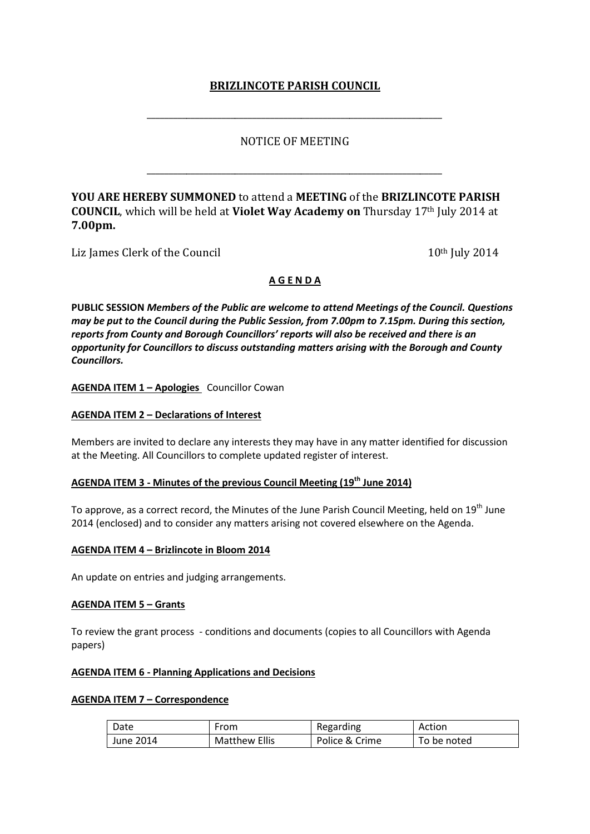# **BRIZLINCOTE PARISH COUNCIL**

# NOTICE OF MEETING

\_\_\_\_\_\_\_\_\_\_\_\_\_\_\_\_\_\_\_\_\_\_\_\_\_\_\_\_\_\_\_\_\_\_\_\_\_\_\_\_\_\_\_\_\_\_\_\_\_\_\_\_\_\_\_\_\_\_\_\_\_\_\_\_\_\_\_

\_\_\_\_\_\_\_\_\_\_\_\_\_\_\_\_\_\_\_\_\_\_\_\_\_\_\_\_\_\_\_\_\_\_\_\_\_\_\_\_\_\_\_\_\_\_\_\_\_\_\_\_\_\_\_\_\_\_\_\_\_\_\_\_\_\_\_

**YOU ARE HEREBY SUMMONED** to attend a **MEETING** of the **BRIZLINCOTE PARISH COUNCIL**, which will be held at **Violet Way Academy on** Thursday 17th July 2014 at **7.00pm.**

Liz James Clerk of the Council 10th July 2014

# **A G E N D A**

**PUBLIC SESSION** *Members of the Public are welcome to attend Meetings of the Council. Questions may be put to the Council during the Public Session, from 7.00pm to 7.15pm. During this section, reports from County and Borough Councillors' reports will also be received and there is an opportunity for Councillors to discuss outstanding matters arising with the Borough and County Councillors.* 

**AGENDA ITEM 1 – Apologies** Councillor Cowan

### **AGENDA ITEM 2 – Declarations of Interest**

Members are invited to declare any interests they may have in any matter identified for discussion at the Meeting. All Councillors to complete updated register of interest.

# **AGENDA ITEM 3 - Minutes of the previous Council Meeting (19th June 2014)**

To approve, as a correct record, the Minutes of the June Parish Council Meeting, held on 19<sup>th</sup> June 2014 (enclosed) and to consider any matters arising not covered elsewhere on the Agenda.

#### **AGENDA ITEM 4 – Brizlincote in Bloom 2014**

An update on entries and judging arrangements.

#### **AGENDA ITEM 5 – Grants**

To review the grant process - conditions and documents (copies to all Councillors with Agenda papers)

# **AGENDA ITEM 6 - Planning Applications and Decisions**

#### **AGENDA ITEM 7 – Correspondence**

| Date      | From                 | Regarding      | Action      |
|-----------|----------------------|----------------|-------------|
| June 2014 | <b>Matthew Ellis</b> | Police & Crime | To be noted |